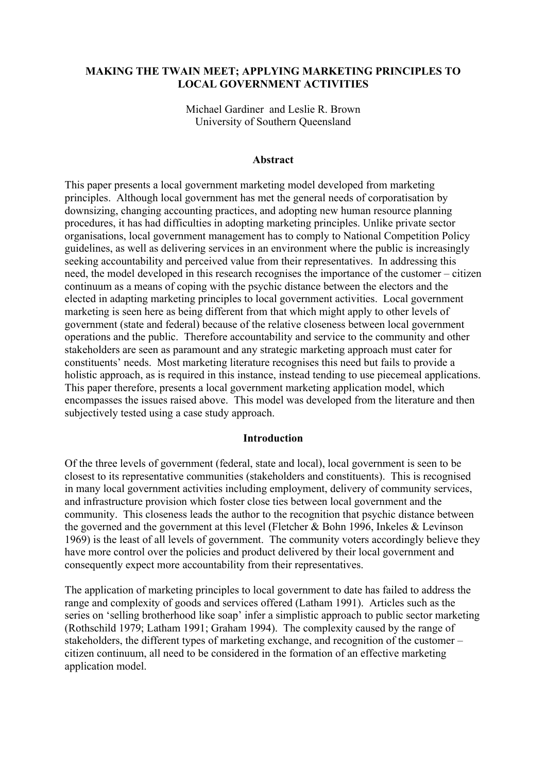## **MAKING THE TWAIN MEET; APPLYING MARKETING PRINCIPLES TO LOCAL GOVERNMENT ACTIVITIES**

Michael Gardiner and Leslie R. Brown University of Southern Queensland

#### **Abstract**

This paper presents a local government marketing model developed from marketing principles. Although local government has met the general needs of corporatisation by downsizing, changing accounting practices, and adopting new human resource planning procedures, it has had difficulties in adopting marketing principles. Unlike private sector organisations, local government management has to comply to National Competition Policy guidelines, as well as delivering services in an environment where the public is increasingly seeking accountability and perceived value from their representatives. In addressing this need, the model developed in this research recognises the importance of the customer – citizen continuum as a means of coping with the psychic distance between the electors and the elected in adapting marketing principles to local government activities. Local government marketing is seen here as being different from that which might apply to other levels of government (state and federal) because of the relative closeness between local government operations and the public. Therefore accountability and service to the community and other stakeholders are seen as paramount and any strategic marketing approach must cater for constituents' needs. Most marketing literature recognises this need but fails to provide a holistic approach, as is required in this instance, instead tending to use piecemeal applications. This paper therefore, presents a local government marketing application model, which encompasses the issues raised above. This model was developed from the literature and then subjectively tested using a case study approach.

#### **Introduction**

Of the three levels of government (federal, state and local), local government is seen to be closest to its representative communities (stakeholders and constituents). This is recognised in many local government activities including employment, delivery of community services, and infrastructure provision which foster close ties between local government and the community. This closeness leads the author to the recognition that psychic distance between the governed and the government at this level (Fletcher  $\&$  Bohn 1996, Inkeles  $\&$  Levinson 1969) is the least of all levels of government. The community voters accordingly believe they have more control over the policies and product delivered by their local government and consequently expect more accountability from their representatives.

The application of marketing principles to local government to date has failed to address the range and complexity of goods and services offered (Latham 1991). Articles such as the series on 'selling brotherhood like soap' infer a simplistic approach to public sector marketing (Rothschild 1979; Latham 1991; Graham 1994). The complexity caused by the range of stakeholders, the different types of marketing exchange, and recognition of the customer – citizen continuum, all need to be considered in the formation of an effective marketing application model.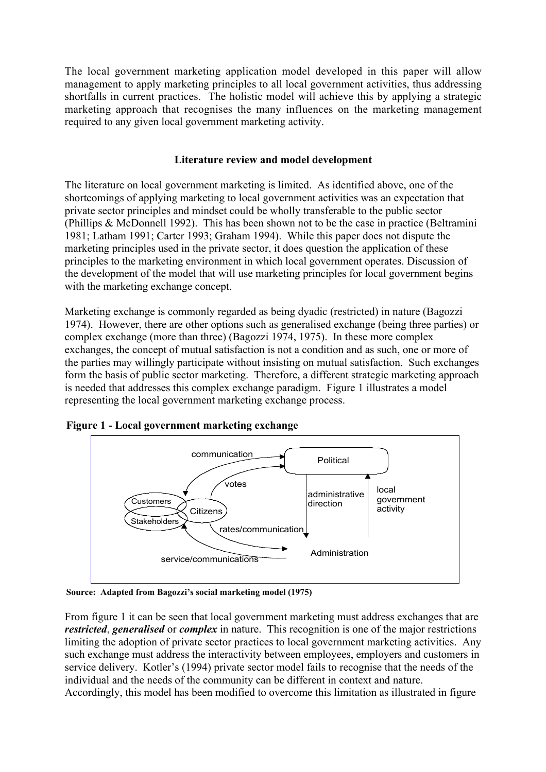The local government marketing application model developed in this paper will allow management to apply marketing principles to all local government activities, thus addressing shortfalls in current practices. The holistic model will achieve this by applying a strategic marketing approach that recognises the many influences on the marketing management required to any given local government marketing activity.

# **Literature review and model development**

The literature on local government marketing is limited. As identified above, one of the shortcomings of applying marketing to local government activities was an expectation that private sector principles and mindset could be wholly transferable to the public sector (Phillips & McDonnell 1992). This has been shown not to be the case in practice (Beltramini 1981; Latham 1991; Carter 1993; Graham 1994). While this paper does not dispute the marketing principles used in the private sector, it does question the application of these principles to the marketing environment in which local government operates. Discussion of the development of the model that will use marketing principles for local government begins with the marketing exchange concept.

Marketing exchange is commonly regarded as being dyadic (restricted) in nature (Bagozzi 1974). However, there are other options such as generalised exchange (being three parties) or complex exchange (more than three) (Bagozzi 1974, 1975). In these more complex exchanges, the concept of mutual satisfaction is not a condition and as such, one or more of the parties may willingly participate without insisting on mutual satisfaction. Such exchanges form the basis of public sector marketing. Therefore, a different strategic marketing approach is needed that addresses this complex exchange paradigm. Figure 1 illustrates a model representing the local government marketing exchange process.



**Figure 1 - Local government marketing exchange**

**Source: Adapted from Bagozzi's social marketing model (1975)**

From figure 1 it can be seen that local government marketing must address exchanges that are *restricted*, *generalised* or *complex* in nature. This recognition is one of the major restrictions limiting the adoption of private sector practices to local government marketing activities. Any such exchange must address the interactivity between employees, employers and customers in service delivery. Kotler's (1994) private sector model fails to recognise that the needs of the individual and the needs of the community can be different in context and nature. Accordingly, this model has been modified to overcome this limitation as illustrated in figure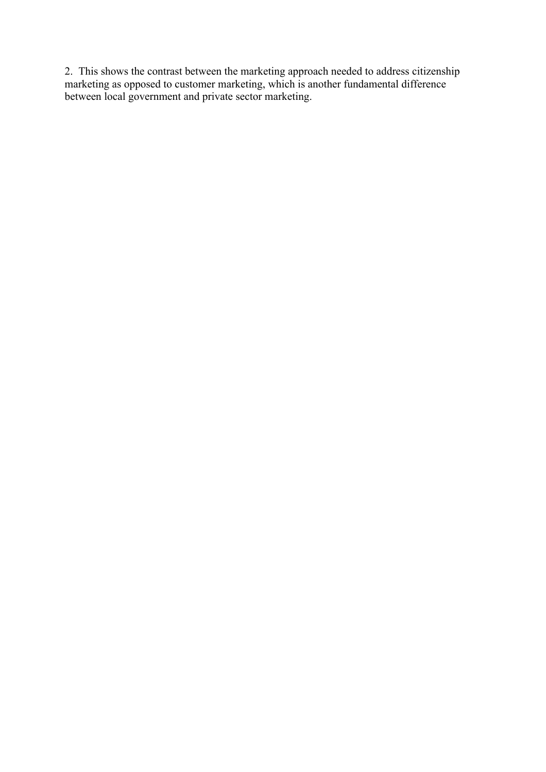2. This shows the contrast between the marketing approach needed to address citizenship marketing as opposed to customer marketing, which is another fundamental difference between local government and private sector marketing.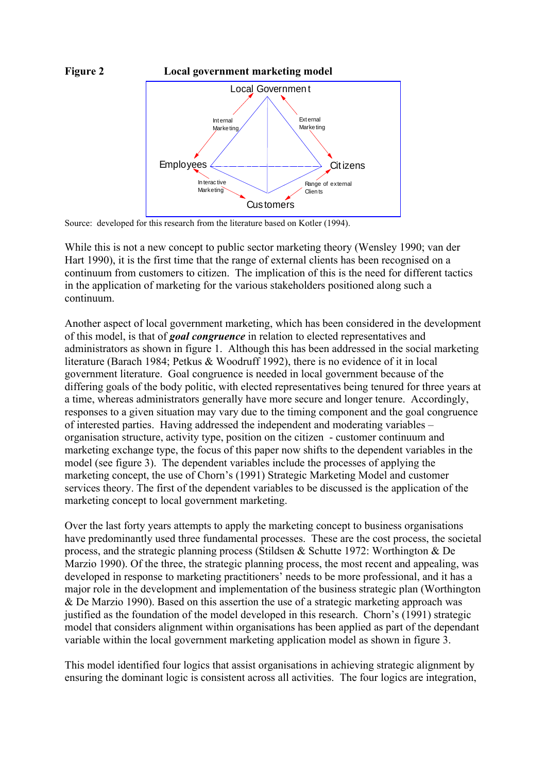

Source: developed for this research from the literature based on Kotler (1994).

While this is not a new concept to public sector marketing theory (Wensley 1990; van der Hart 1990), it is the first time that the range of external clients has been recognised on a continuum from customers to citizen. The implication of this is the need for different tactics in the application of marketing for the various stakeholders positioned along such a continuum.

Another aspect of local government marketing, which has been considered in the development of this model, is that of *goal congruence* in relation to elected representatives and administrators as shown in figure 1. Although this has been addressed in the social marketing literature (Barach 1984; Petkus & Woodruff 1992), there is no evidence of it in local government literature. Goal congruence is needed in local government because of the differing goals of the body politic, with elected representatives being tenured for three years at a time, whereas administrators generally have more secure and longer tenure. Accordingly, responses to a given situation may vary due to the timing component and the goal congruence of interested parties. Having addressed the independent and moderating variables – organisation structure, activity type, position on the citizen - customer continuum and marketing exchange type, the focus of this paper now shifts to the dependent variables in the model (see figure 3). The dependent variables include the processes of applying the marketing concept, the use of Chorn's (1991) Strategic Marketing Model and customer services theory. The first of the dependent variables to be discussed is the application of the marketing concept to local government marketing.

Over the last forty years attempts to apply the marketing concept to business organisations have predominantly used three fundamental processes. These are the cost process, the societal process, and the strategic planning process (Stildsen & Schutte 1972: Worthington & De Marzio 1990). Of the three, the strategic planning process, the most recent and appealing, was developed in response to marketing practitioners' needs to be more professional, and it has a major role in the development and implementation of the business strategic plan (Worthington & De Marzio 1990). Based on this assertion the use of a strategic marketing approach was justified as the foundation of the model developed in this research. Chorn's (1991) strategic model that considers alignment within organisations has been applied as part of the dependant variable within the local government marketing application model as shown in figure 3.

This model identified four logics that assist organisations in achieving strategic alignment by ensuring the dominant logic is consistent across all activities. The four logics are integration,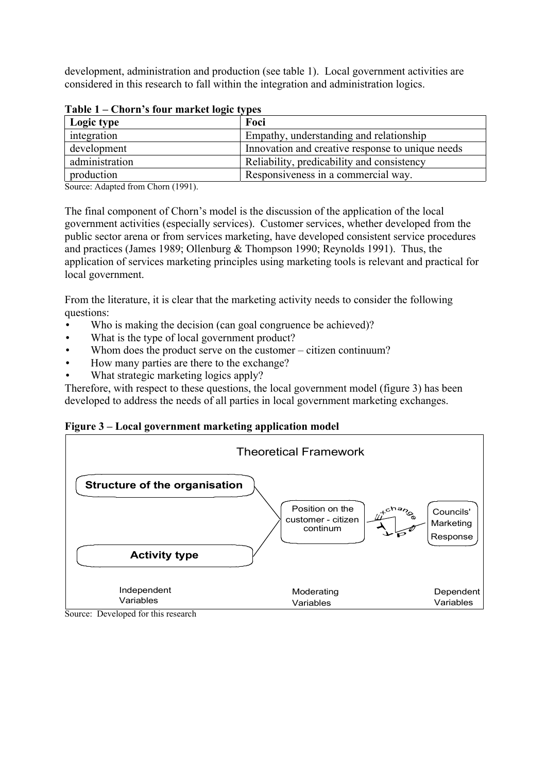development, administration and production (see table 1). Local government activities are considered in this research to fall within the integration and administration logics.

| $1400 \times 1$ Chome Stout matrice to the $\theta$ |                                                  |
|-----------------------------------------------------|--------------------------------------------------|
| Logic type                                          | Foci                                             |
| integration                                         | Empathy, understanding and relationship          |
| development                                         | Innovation and creative response to unique needs |
| administration                                      | Reliability, predicability and consistency       |
| production                                          | Responsiveness in a commercial way.              |

## **Table 1 – Chorn's four market logic types**

Source: Adapted from Chorn (1991).

The final component of Chorn's model is the discussion of the application of the local government activities (especially services). Customer services, whether developed from the public sector arena or from services marketing, have developed consistent service procedures and practices (James 1989; Ollenburg & Thompson 1990; Reynolds 1991). Thus, the application of services marketing principles using marketing tools is relevant and practical for local government.

From the literature, it is clear that the marketing activity needs to consider the following questions:

- Who is making the decision (can goal congruence be achieved)?
- What is the type of local government product?
- Whom does the product serve on the customer citizen continuum?
- How many parties are there to the exchange?
- What strategic marketing logics apply?

Therefore, with respect to these questions, the local government model (figure 3) has been developed to address the needs of all parties in local government marketing exchanges.

## **Figure 3 – Local government marketing application model**



Source: Developed for this research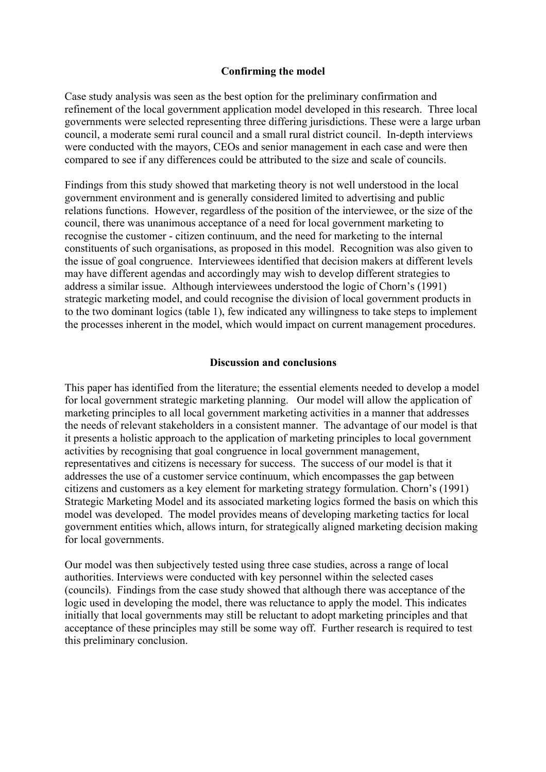## **Confirming the model**

Case study analysis was seen as the best option for the preliminary confirmation and refinement of the local government application model developed in this research. Three local governments were selected representing three differing jurisdictions. These were a large urban council, a moderate semi rural council and a small rural district council. In-depth interviews were conducted with the mayors, CEOs and senior management in each case and were then compared to see if any differences could be attributed to the size and scale of councils.

Findings from this study showed that marketing theory is not well understood in the local government environment and is generally considered limited to advertising and public relations functions. However, regardless of the position of the interviewee, or the size of the council, there was unanimous acceptance of a need for local government marketing to recognise the customer - citizen continuum, and the need for marketing to the internal constituents of such organisations, as proposed in this model. Recognition was also given to the issue of goal congruence. Interviewees identified that decision makers at different levels may have different agendas and accordingly may wish to develop different strategies to address a similar issue. Although interviewees understood the logic of Chorn's (1991) strategic marketing model, and could recognise the division of local government products in to the two dominant logics (table 1), few indicated any willingness to take steps to implement the processes inherent in the model, which would impact on current management procedures.

## **Discussion and conclusions**

This paper has identified from the literature; the essential elements needed to develop a model for local government strategic marketing planning. Our model will allow the application of marketing principles to all local government marketing activities in a manner that addresses the needs of relevant stakeholders in a consistent manner. The advantage of our model is that it presents a holistic approach to the application of marketing principles to local government activities by recognising that goal congruence in local government management, representatives and citizens is necessary for success. The success of our model is that it addresses the use of a customer service continuum, which encompasses the gap between citizens and customers as a key element for marketing strategy formulation. Chorn's (1991) Strategic Marketing Model and its associated marketing logics formed the basis on which this model was developed. The model provides means of developing marketing tactics for local government entities which, allows inturn, for strategically aligned marketing decision making for local governments.

Our model was then subjectively tested using three case studies, across a range of local authorities. Interviews were conducted with key personnel within the selected cases (councils). Findings from the case study showed that although there was acceptance of the logic used in developing the model, there was reluctance to apply the model. This indicates initially that local governments may still be reluctant to adopt marketing principles and that acceptance of these principles may still be some way off. Further research is required to test this preliminary conclusion.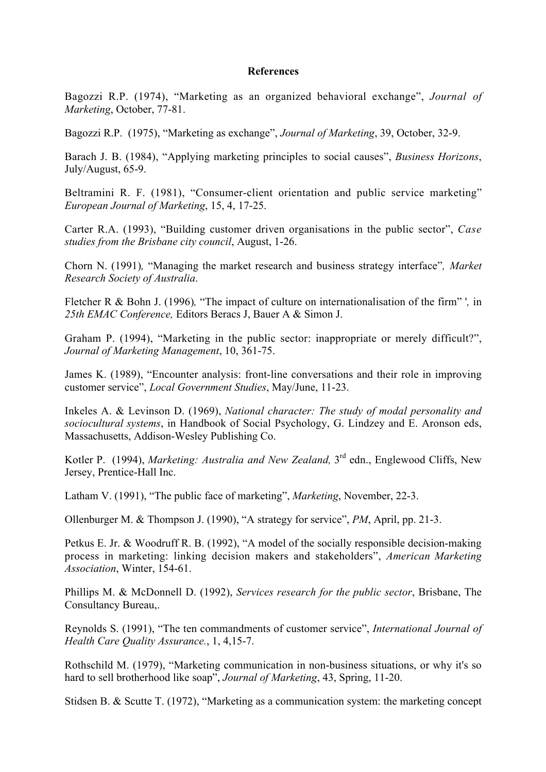#### **References**

Bagozzi R.P. (1974), "Marketing as an organized behavioral exchange", *Journal of Marketing*, October, 77-81.

Bagozzi R.P. (1975), "Marketing as exchange", *Journal of Marketing*, 39, October, 32-9.

Barach J. B. (1984), "Applying marketing principles to social causes", *Business Horizons*, July/August, 65-9.

Beltramini R. F. (1981), "Consumer-client orientation and public service marketing" *European Journal of Marketing*, 15, 4, 17-25.

Carter R.A. (1993), "Building customer driven organisations in the public sector", *Case studies from the Brisbane city council*, August, 1-26.

Chorn N. (1991)*,* "Managing the market research and business strategy interface"*, Market Research Society of Australia*.

Fletcher R & Bohn J. (1996)*,* "The impact of culture on internationalisation of the firm" '*,* in *25th EMAC Conference,* Editors Beracs J, Bauer A & Simon J.

Graham P. (1994), "Marketing in the public sector: inappropriate or merely difficult?", *Journal of Marketing Management*, 10, 361-75.

James K. (1989), "Encounter analysis: front-line conversations and their role in improving customer service", *Local Government Studies*, May/June, 11-23.

Inkeles A. & Levinson D. (1969), *National character: The study of modal personality and sociocultural systems*, in Handbook of Social Psychology, G. Lindzey and E. Aronson eds, Massachusetts, Addison-Wesley Publishing Co.

Kotler P. (1994), *Marketing: Australia and New Zealand,* 3rd edn., Englewood Cliffs, New Jersey, Prentice-Hall Inc.

Latham V. (1991), "The public face of marketing", *Marketing*, November, 22-3.

Ollenburger M. & Thompson J. (1990), "A strategy for service", *PM*, April, pp. 21-3.

Petkus E. Jr. & Woodruff R. B. (1992), "A model of the socially responsible decision-making process in marketing: linking decision makers and stakeholders", *American Marketing Association*, Winter, 154-61.

Phillips M. & McDonnell D. (1992), *Services research for the public sector*, Brisbane, The Consultancy Bureau,.

Reynolds S. (1991), "The ten commandments of customer service", *International Journal of Health Care Quality Assurance.*, 1, 4,15-7.

Rothschild M. (1979), "Marketing communication in non-business situations, or why it's so hard to sell brotherhood like soap", *Journal of Marketing*, 43, Spring, 11-20.

Stidsen B. & Scutte T. (1972), "Marketing as a communication system: the marketing concept